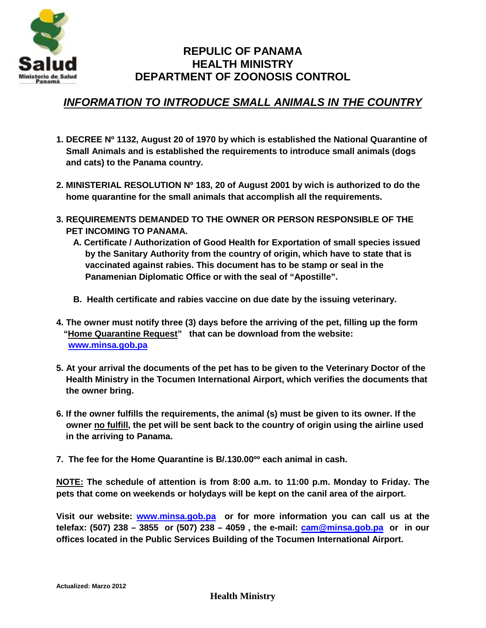

# **REPULIC OF PANAMA HEALTH MINISTRY DEPARTMENT OF ZOONOSIS CONTROL**

## *INFORMATION TO INTRODUCE SMALL ANIMALS IN THE COUNTRY*

- **1. DECREE Nº 1132, August 20 of 1970 by which is established the National Quarantine of Small Animals and is established the requirements to introduce small animals (dogs and cats) to the Panama country.**
- **2. MINISTERIAL RESOLUTION Nº 183, 20 of August 2001 by wich is authorized to do the home quarantine for the small animals that accomplish all the requirements.**
- **3. REQUIREMENTS DEMANDED TO THE OWNER OR PERSON RESPONSIBLE OF THE PET INCOMING TO PANAMA.**
	- **A. Certificate / Authorization of Good Health for Exportation of small species issued by the Sanitary Authority from the country of origin, which have to state that is vaccinated against rabies. This document has to be stamp or seal in the Panamenian Diplomatic Office or with the seal of "Apostille".**
	- **B. Health certificate and rabies vaccine on due date by the issuing veterinary.**
- **4. The owner must notify three (3) days before the arriving of the pet, filling up the form "Home Quarantine Request" that can be download from the website: www.minsa.gob.pa**
- **5. At your arrival the documents of the pet has to be given to the Veterinary Doctor of the Health Ministry in the Tocumen International Airport, which verifies the documents that the owner bring.**
- **6. If the owner fulfills the requirements, the animal (s) must be given to its owner. If the owner no fulfill, the pet will be sent back to the country of origin using the airline used in the arriving to Panama.**
- **7. The fee for the Home Quarantine is B/.130.00ºº each animal in cash.**

**NOTE: The schedule of attention is from 8:00 a.m. to 11:00 p.m. Monday to Friday. The pets that come on weekends or holydays will be kept on the canil area of the airport.**

**Visit our website: www.minsa.gob.pa or for more information you can call us at the telefax: (507) 238 – 3855 or (507) 238 – 4059 , the e-mail: cam@minsa.gob.pa or in our offices located in the Public Services Building of the Tocumen International Airport.**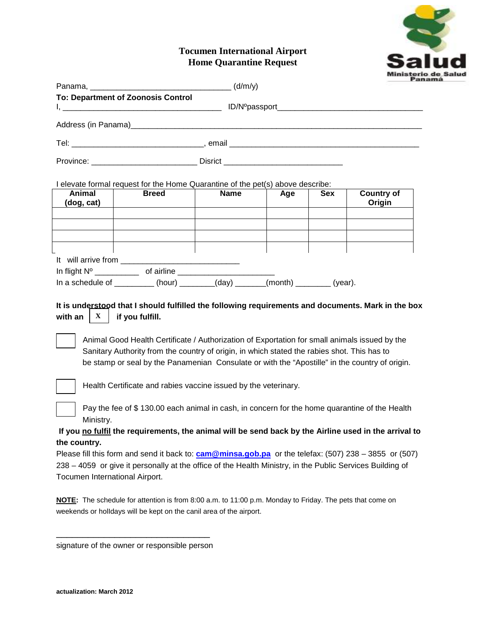

### **Tocumen International Airport Home Quarantine Request**

| <b>To: Department of Zoonosis Control</b>                                                                                                                                                                                                                                                                                                                                                                          |                 |                                                                                                                                                                                                                                                                                                |     |     |                                                                                                              |
|--------------------------------------------------------------------------------------------------------------------------------------------------------------------------------------------------------------------------------------------------------------------------------------------------------------------------------------------------------------------------------------------------------------------|-----------------|------------------------------------------------------------------------------------------------------------------------------------------------------------------------------------------------------------------------------------------------------------------------------------------------|-----|-----|--------------------------------------------------------------------------------------------------------------|
|                                                                                                                                                                                                                                                                                                                                                                                                                    |                 |                                                                                                                                                                                                                                                                                                |     |     |                                                                                                              |
|                                                                                                                                                                                                                                                                                                                                                                                                                    |                 |                                                                                                                                                                                                                                                                                                |     |     |                                                                                                              |
|                                                                                                                                                                                                                                                                                                                                                                                                                    |                 |                                                                                                                                                                                                                                                                                                |     |     |                                                                                                              |
|                                                                                                                                                                                                                                                                                                                                                                                                                    |                 |                                                                                                                                                                                                                                                                                                |     |     |                                                                                                              |
| I elevate formal request for the Home Quarantine of the pet(s) above describe:                                                                                                                                                                                                                                                                                                                                     |                 |                                                                                                                                                                                                                                                                                                |     |     |                                                                                                              |
| Animal<br>(dog, cat)                                                                                                                                                                                                                                                                                                                                                                                               | <b>Breed</b>    | <b>Name</b>                                                                                                                                                                                                                                                                                    | Age | Sex | <b>Country of</b><br>Origin                                                                                  |
|                                                                                                                                                                                                                                                                                                                                                                                                                    |                 |                                                                                                                                                                                                                                                                                                |     |     |                                                                                                              |
|                                                                                                                                                                                                                                                                                                                                                                                                                    |                 |                                                                                                                                                                                                                                                                                                |     |     |                                                                                                              |
| In a schedule of $\frac{1}{\sqrt{1-\frac{1}{\sqrt{1-\frac{1}{\sqrt{1-\frac{1}{\sqrt{1-\frac{1}{\sqrt{1-\frac{1}{\sqrt{1-\frac{1}{\sqrt{1-\frac{1}{\sqrt{1-\frac{1}{\sqrt{1-\frac{1}{\sqrt{1-\frac{1}{\sqrt{1-\frac{1}{\sqrt{1-\frac{1}{\sqrt{1-\frac{1}{\sqrt{1-\frac{1}{\sqrt{1-\frac{1}{\sqrt{1-\frac{1}{\sqrt{1-\frac{1}{\sqrt{1-\frac{1}{\sqrt{1-\frac{1}{\sqrt{1-\frac{1}{\sqrt{1-\frac{1}{\sqrt{1-\frac{1}{$ |                 |                                                                                                                                                                                                                                                                                                |     |     |                                                                                                              |
| with an<br>$\mathbf{X}$                                                                                                                                                                                                                                                                                                                                                                                            | if you fulfill. | Animal Good Health Certificate / Authorization of Exportation for small animals issued by the<br>Sanitary Authority from the country of origin, in which stated the rabies shot. This has to<br>be stamp or seal by the Panamenian Consulate or with the "Apostille" in the country of origin. |     |     | It is understood that I should fulfilled the following requirements and documents. Mark in the box           |
|                                                                                                                                                                                                                                                                                                                                                                                                                    |                 | Health Certificate and rabies vaccine issued by the veterinary.                                                                                                                                                                                                                                |     |     |                                                                                                              |
| Ministry.                                                                                                                                                                                                                                                                                                                                                                                                          |                 | Pay the fee of \$130.00 each animal in cash, in concern for the home quarantine of the Health                                                                                                                                                                                                  |     |     |                                                                                                              |
|                                                                                                                                                                                                                                                                                                                                                                                                                    |                 |                                                                                                                                                                                                                                                                                                |     |     | If you no fulfil the requirements, the animal will be send back by the Airline used in the arrival to        |
| the country.                                                                                                                                                                                                                                                                                                                                                                                                       |                 |                                                                                                                                                                                                                                                                                                |     |     |                                                                                                              |
| 238 – 4059 or give it personally at the office of the Health Ministry, in the Public Services Building of<br>Tocumen International Airport.                                                                                                                                                                                                                                                                        |                 |                                                                                                                                                                                                                                                                                                |     |     | Please fill this form and send it back to: <b>cam@minsa.gob.pa</b> or the telefax: (507) 238 – 3855 or (507) |
| NOTE: The schedule for attention is from 8:00 a.m. to 11:00 p.m. Monday to Friday. The pets that come on                                                                                                                                                                                                                                                                                                           |                 | weekends or holldays will be kept on the canil area of the airport.                                                                                                                                                                                                                            |     |     |                                                                                                              |

\_\_\_\_\_\_\_\_\_\_\_\_\_\_\_\_\_\_\_\_\_\_\_\_\_\_\_\_\_ signature of the owner or responsible person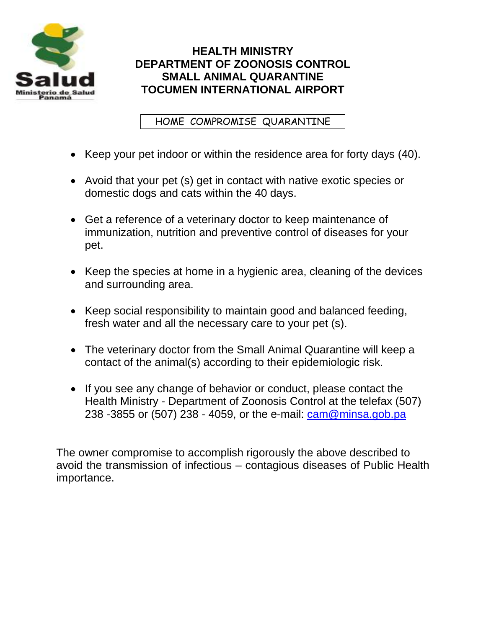

# **HEALTH MINISTRY DEPARTMENT OF ZOONOSIS CONTROL SMALL ANIMAL QUARANTINE TOCUMEN INTERNATIONAL AIRPORT**

HOME COMPROMISE QUARANTINE

- Keep your pet indoor or within the residence area for forty days (40).
- Avoid that your pet (s) get in contact with native exotic species or domestic dogs and cats within the 40 days.
- Get a reference of a veterinary doctor to keep maintenance of immunization, nutrition and preventive control of diseases for your pet.
- Keep the species at home in a hygienic area, cleaning of the devices and surrounding area.
- Keep social responsibility to maintain good and balanced feeding, fresh water and all the necessary care to your pet (s).
- The veterinary doctor from the Small Animal Quarantine will keep a contact of the animal(s) according to their epidemiologic risk.
- If you see any change of behavior or conduct, please contact the Health Ministry - Department of Zoonosis Control at the telefax (507) 238 -3855 or (507) 238 - 4059, or the e-mail: cam@minsa.gob.pa

The owner compromise to accomplish rigorously the above described to avoid the transmission of infectious – contagious diseases of Public Health importance.